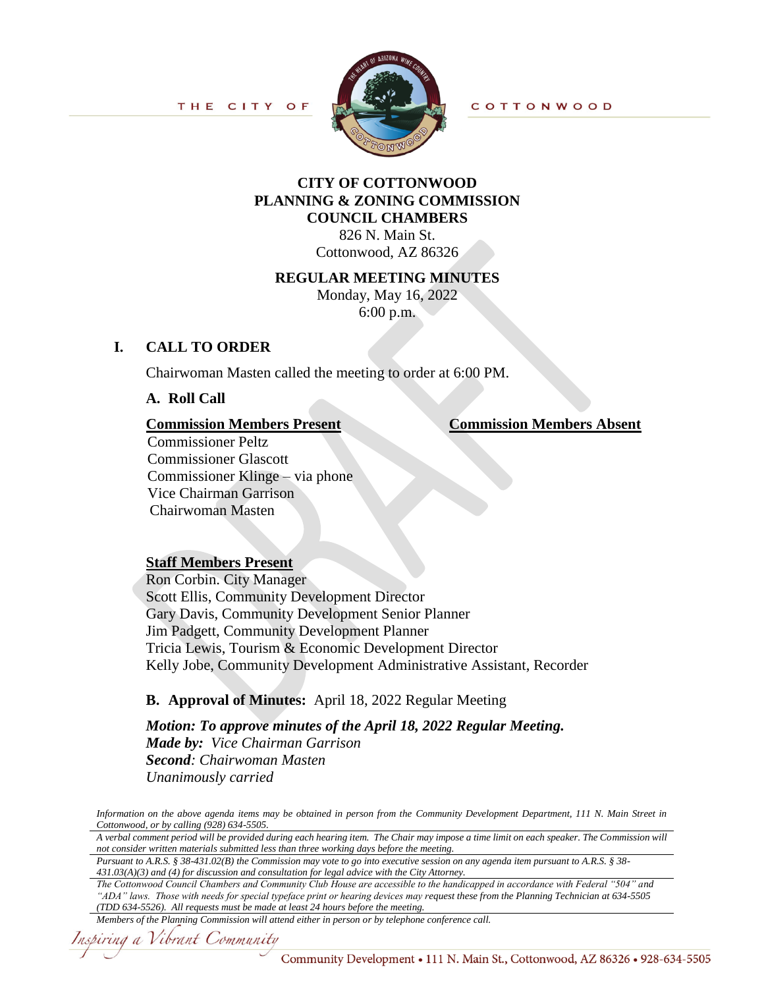

# **CITY OF COTTONWOOD PLANNING & ZONING COMMISSION COUNCIL CHAMBERS**

826 N. Main St. Cottonwood, AZ 86326

#### **REGULAR MEETING MINUTES**

Monday, May 16, 2022 6:00 p.m.

# **I. CALL TO ORDER**

Chairwoman Masten called the meeting to order at 6:00 PM.

**A. Roll Call**

**Commission Members Present Commission Members Absent**

Commissioner Peltz Commissioner Glascott Commissioner Klinge – via phone Vice Chairman Garrison Chairwoman Masten

## **Staff Members Present**

Ron Corbin. City Manager Scott Ellis, Community Development Director Gary Davis, Community Development Senior Planner Jim Padgett, Community Development Planner Tricia Lewis, Tourism & Economic Development Director Kelly Jobe, Community Development Administrative Assistant, Recorder

# **B. Approval of Minutes:** April 18, 2022 Regular Meeting

*Motion: To approve minutes of the April 18, 2022 Regular Meeting. Made by: Vice Chairman Garrison Second: Chairwoman Masten Unanimously carried*

*Information on the above agenda items may be obtained in person from the Community Development Department, 111 N. Main Street in Cottonwood, or by calling (928) 634-5505.*

*A verbal comment period will be provided during each hearing item. The Chair may impose a time limit on each speaker. The Commission will not consider written materials submitted less than three working days before the meeting.*

*Pursuant to A.R.S. § 38-431.02(B) the Commission may vote to go into executive session on any agenda item pursuant to A.R.S. § 38- 431.03(A)(3) and (4) for discussion and consultation for legal advice with the City Attorney.*

*The Cottonwood Council Chambers and Community Club House are accessible to the handicapped in accordance with Federal "504" and "ADA" laws. Those with needs for special typeface print or hearing devices may request these from the Planning Technician at 634-5505 (TDD 634-5526). All requests must be made at least 24 hours before the meeting.*

#### *Members of the Planning Commission will attend either in person or by telephone conference call.*

Inspiring a Vibrant Community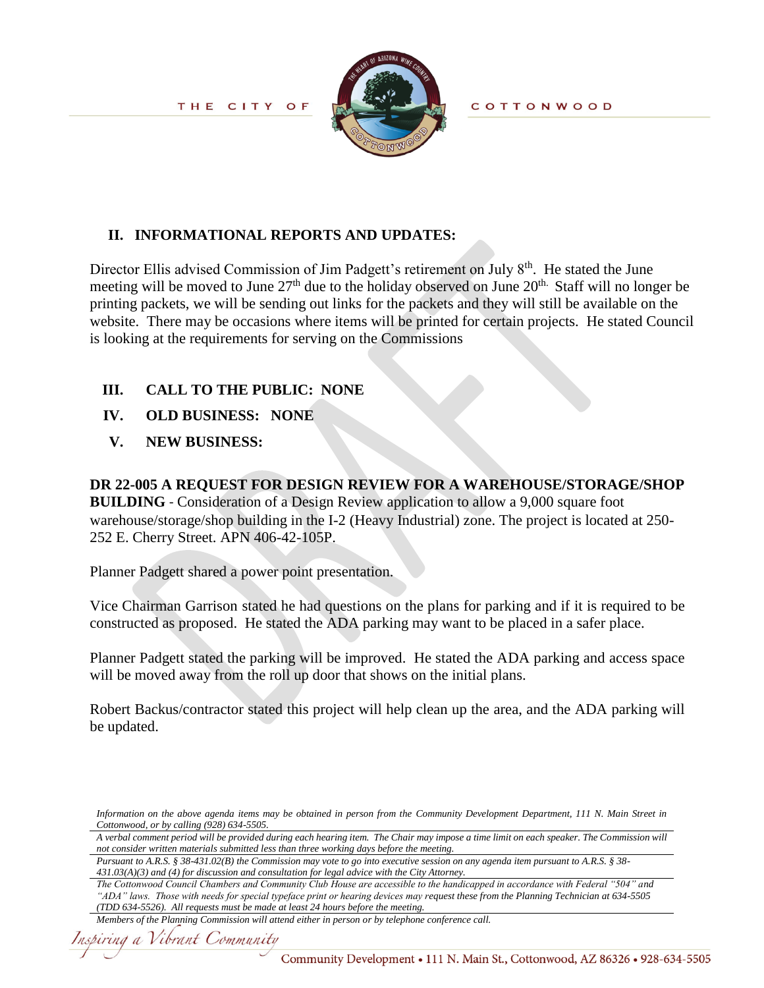

**COTTONWOOD** 

# **II. INFORMATIONAL REPORTS AND UPDATES:**

Director Ellis advised Commission of Jim Padgett's retirement on July 8<sup>th</sup>. He stated the June meeting will be moved to June 27<sup>th</sup> due to the holiday observed on June 20<sup>th.</sup> Staff will no longer be printing packets, we will be sending out links for the packets and they will still be available on the website. There may be occasions where items will be printed for certain projects. He stated Council is looking at the requirements for serving on the Commissions

# **III. CALL TO THE PUBLIC: NONE**

- **IV. OLD BUSINESS:****NONE**
- **V. NEW BUSINESS:**

**DR 22-005 A REQUEST FOR DESIGN REVIEW FOR A WAREHOUSE/STORAGE/SHOP BUILDING** - Consideration of a Design Review application to allow a 9,000 square foot warehouse/storage/shop building in the I-2 (Heavy Industrial) zone. The project is located at 250- 252 E. Cherry Street. APN 406-42-105P.

Planner Padgett shared a power point presentation.

Vice Chairman Garrison stated he had questions on the plans for parking and if it is required to be constructed as proposed. He stated the ADA parking may want to be placed in a safer place.

Planner Padgett stated the parking will be improved. He stated the ADA parking and access space will be moved away from the roll up door that shows on the initial plans.

Robert Backus/contractor stated this project will help clean up the area, and the ADA parking will be updated.

*The Cottonwood Council Chambers and Community Club House are accessible to the handicapped in accordance with Federal "504" and "ADA" laws. Those with needs for special typeface print or hearing devices may request these from the Planning Technician at 634-5505 (TDD 634-5526). All requests must be made at least 24 hours before the meeting.*

*Information on the above agenda items may be obtained in person from the Community Development Department, 111 N. Main Street in Cottonwood, or by calling (928) 634-5505.*

*A verbal comment period will be provided during each hearing item. The Chair may impose a time limit on each speaker. The Commission will not consider written materials submitted less than three working days before the meeting.*

*Pursuant to A.R.S. § 38-431.02(B) the Commission may vote to go into executive session on any agenda item pursuant to A.R.S. § 38- 431.03(A)(3) and (4) for discussion and consultation for legal advice with the City Attorney.*

*Members of the Planning Commission will attend either in person or by telephone conference call.*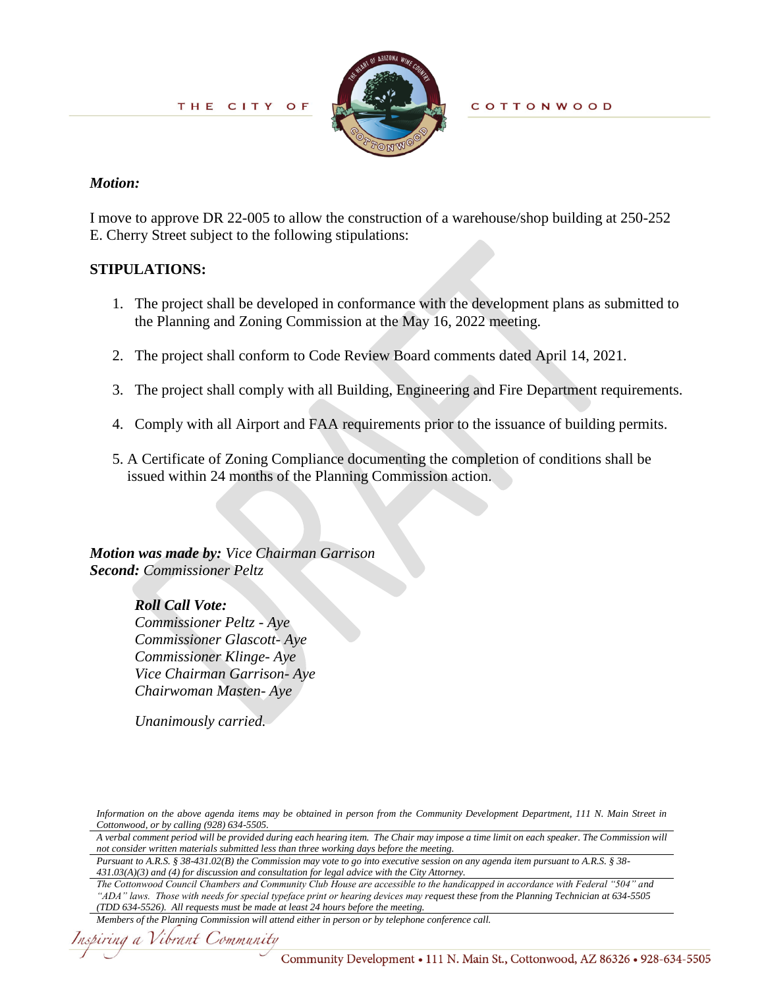

**COTTONWOOD** 

## *Motion:*

I move to approve DR 22-005 to allow the construction of a warehouse/shop building at 250-252 E. Cherry Street subject to the following stipulations:

# **STIPULATIONS:**

- 1. The project shall be developed in conformance with the development plans as submitted to the Planning and Zoning Commission at the May 16, 2022 meeting.
- 2. The project shall conform to Code Review Board comments dated April 14, 2021.
- 3. The project shall comply with all Building, Engineering and Fire Department requirements.
- 4. Comply with all Airport and FAA requirements prior to the issuance of building permits.
- 5. A Certificate of Zoning Compliance documenting the completion of conditions shall be issued within 24 months of the Planning Commission action.

*Motion was made by: Vice Chairman Garrison Second: Commissioner Peltz*

> *Roll Call Vote: Commissioner Peltz - Aye Commissioner Glascott- Aye Commissioner Klinge- Aye Vice Chairman Garrison- Aye Chairwoman Masten- Aye*

*Unanimously carried.*

*Information on the above agenda items may be obtained in person from the Community Development Department, 111 N. Main Street in Cottonwood, or by calling (928) 634-5505.*

*A verbal comment period will be provided during each hearing item. The Chair may impose a time limit on each speaker. The Commission will not consider written materials submitted less than three working days before the meeting.*

*Pursuant to A.R.S. § 38-431.02(B) the Commission may vote to go into executive session on any agenda item pursuant to A.R.S. § 38- 431.03(A)(3) and (4) for discussion and consultation for legal advice with the City Attorney.*

*The Cottonwood Council Chambers and Community Club House are accessible to the handicapped in accordance with Federal "504" and "ADA" laws. Those with needs for special typeface print or hearing devices may request these from the Planning Technician at 634-5505 (TDD 634-5526). All requests must be made at least 24 hours before the meeting.*

```
Members of the Planning Commission will attend either in person or by telephone conference call.
```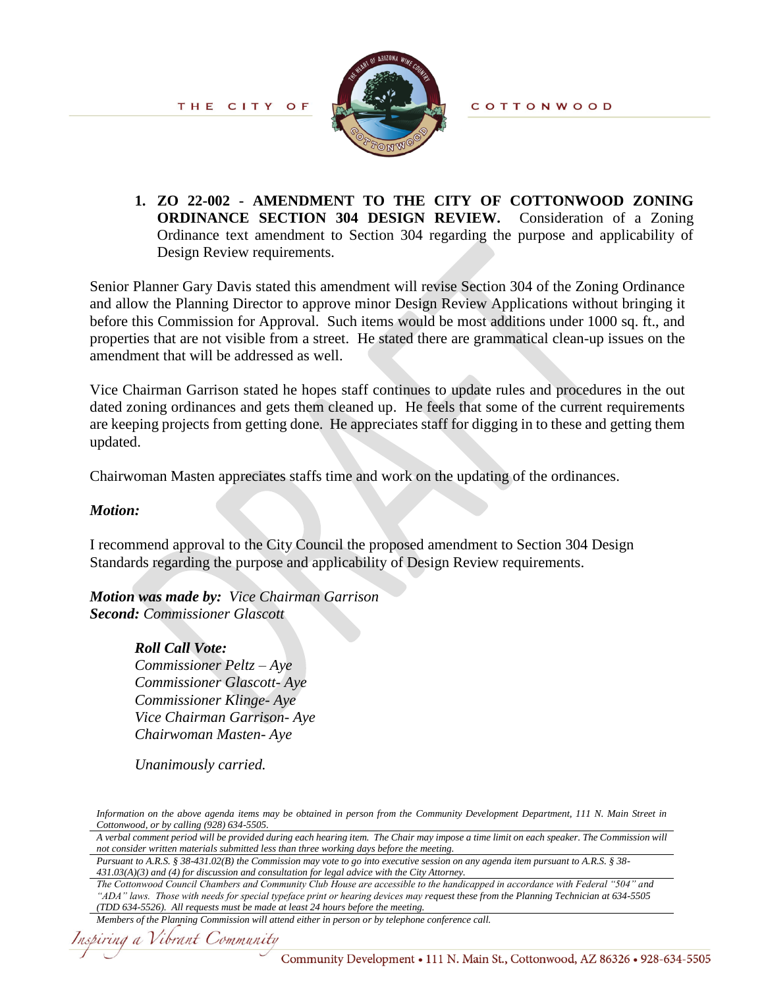

**COTTONWOOD** 

**1. ZO 22-002 - AMENDMENT TO THE CITY OF COTTONWOOD ZONING ORDINANCE SECTION 304 DESIGN REVIEW.** Consideration of a Zoning Ordinance text amendment to Section 304 regarding the purpose and applicability of Design Review requirements.

Senior Planner Gary Davis stated this amendment will revise Section 304 of the Zoning Ordinance and allow the Planning Director to approve minor Design Review Applications without bringing it before this Commission for Approval. Such items would be most additions under 1000 sq. ft., and properties that are not visible from a street. He stated there are grammatical clean-up issues on the amendment that will be addressed as well.

Vice Chairman Garrison stated he hopes staff continues to update rules and procedures in the out dated zoning ordinances and gets them cleaned up. He feels that some of the current requirements are keeping projects from getting done. He appreciates staff for digging in to these and getting them updated.

Chairwoman Masten appreciates staffs time and work on the updating of the ordinances.

## *Motion:*

I recommend approval to the City Council the proposed amendment to Section 304 Design Standards regarding the purpose and applicability of Design Review requirements.

*Motion was made by: Vice Chairman Garrison Second: Commissioner Glascott* 

## *Roll Call Vote:*

*Commissioner Peltz – Aye Commissioner Glascott- Aye Commissioner Klinge- Aye Vice Chairman Garrison- Aye Chairwoman Masten- Aye* 

*Unanimously carried.* 

*Information on the above agenda items may be obtained in person from the Community Development Department, 111 N. Main Street in Cottonwood, or by calling (928) 634-5505.*

*A verbal comment period will be provided during each hearing item. The Chair may impose a time limit on each speaker. The Commission will not consider written materials submitted less than three working days before the meeting.*

*Pursuant to A.R.S. § 38-431.02(B) the Commission may vote to go into executive session on any agenda item pursuant to A.R.S. § 38- 431.03(A)(3) and (4) for discussion and consultation for legal advice with the City Attorney.*

*The Cottonwood Council Chambers and Community Club House are accessible to the handicapped in accordance with Federal "504" and "ADA" laws. Those with needs for special typeface print or hearing devices may request these from the Planning Technician at 634-5505 (TDD 634-5526). All requests must be made at least 24 hours before the meeting.*

*Members of the Planning Commission will attend either in person or by telephone conference call.*